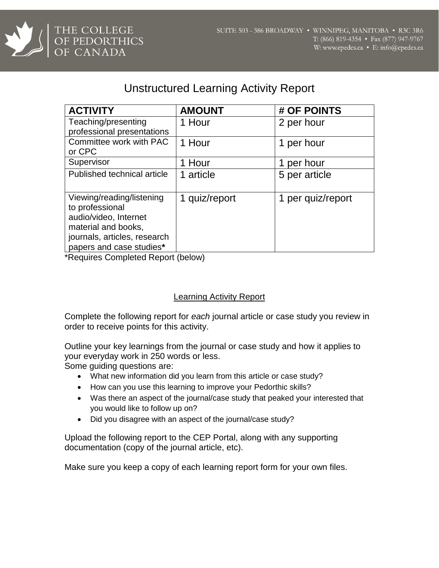

## Unstructured Learning Activity Report

| <b>ACTIVITY</b>              | <b>AMOUNT</b> | # OF POINTS       |
|------------------------------|---------------|-------------------|
| Teaching/presenting          | 1 Hour        | 2 per hour        |
| professional presentations   |               |                   |
| Committee work with PAC      | 1 Hour        | 1 per hour        |
| or CPC                       |               |                   |
| Supervisor                   | 1 Hour        | per hour          |
| Published technical article  | 1 article     | 5 per article     |
|                              |               |                   |
| Viewing/reading/listening    | 1 quiz/report | 1 per quiz/report |
| to professional              |               |                   |
| audio/video, Internet        |               |                   |
| material and books,          |               |                   |
| journals, articles, research |               |                   |
| papers and case studies*     |               |                   |

\*Requires Completed Report (below)

## Learning Activity Report

Complete the following report for *each* journal article or case study you review in order to receive points for this activity.

Outline your key learnings from the journal or case study and how it applies to your everyday work in 250 words or less.

Some guiding questions are:

- What new information did you learn from this article or case study?
- How can you use this learning to improve your Pedorthic skills?
- Was there an aspect of the journal/case study that peaked your interested that you would like to follow up on?
- Did you disagree with an aspect of the journal/case study?

Upload the following report to the CEP Portal, along with any supporting documentation (copy of the journal article, etc).

Make sure you keep a copy of each learning report form for your own files.